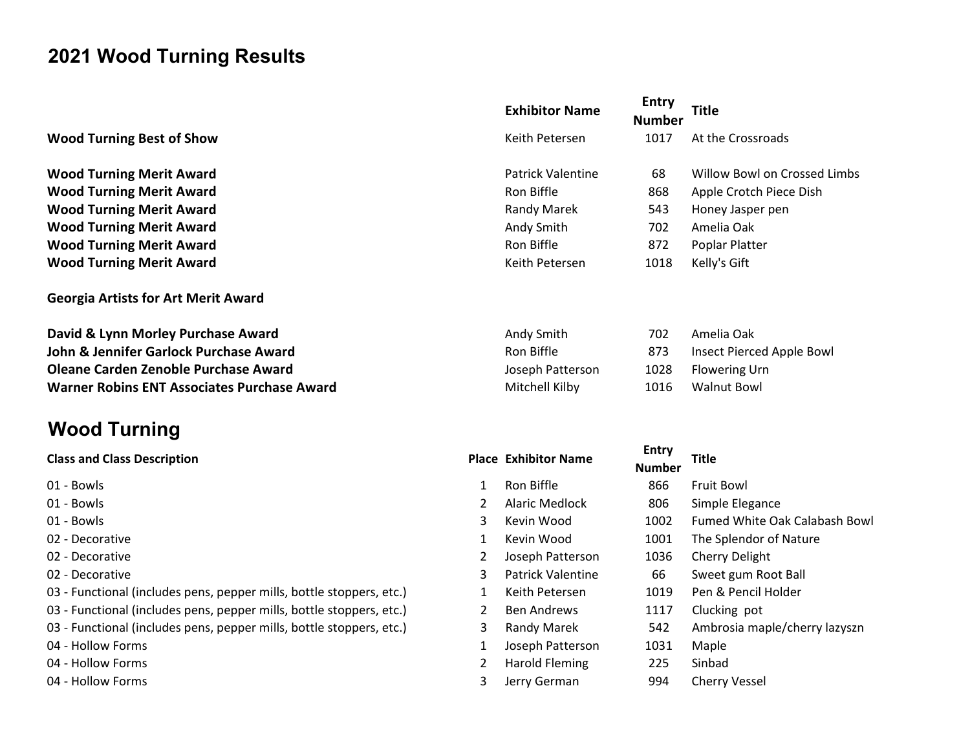## 2021 Wood Turning Results

## Wood Turning Best of Show Keither Petersen 1017 At the Crossroads Research Petersen 1017 At the Crossroads Research Petersen 1017 At the Crossroads Research Petersen 1017 At the Crossroads Research Petersen 1017 At the Cro

Wood Turning Merit Award **Patrick Valentine 68 Willow Bowl on Crossed Limbs Crossed Limbs Avenue Crossed Limbs Crossed Limbs Crossed Limbs Crossed Limbs Crossed Limbs Crossed Limbs Crossed Limbs Crossed Limbs Crossed Limbs** Wood Turning Merit Award Ron Biffle 868 Apple Crotes Ron Biffle 868 Apple Crotes R Wood Turning Merit Award Randy Marek 543 Honey Jasper pendidikan Randy Randy Randy Randy Randy Randy Randy Randy R Wood Turning Merit Award Andy Smith 702 Americans American Oaks American Control of American Control of American Oaks American Control of American Control of American Control of American Control of American Control of Amer Wood Turning Merit Award Ron Biffle 872 Poplar Platter Ron Biffle 872 Poplar Platter Ron Biffle 872 Poplar Platter Ron Biffle 872 Poplar Platter Ron Biffle 872 Poplar Platter Ron Biffle 872 Poplar Platter Ron Biffle 872 Po Wood Turning Merit Award Keither School School Hart Research International Kelly School School School School School School School School School School School School School School School School School School School School S

Georgia Artists for Art Merit Award

David & Lynn Morley Purchase Award American American American Andy Smith 702 American American American America John & Jennifer Garlock Purchase Award **Rondom Channel Ron Biffle** 873 Insect Pierced Apple Bowl **Oleane Carden Zenoble Purchase Award Patterson 1028 Flowering Urnal Patterson 1028 Flowering Urnal Patterson 1028 Flowering Urnal Patterson 1028 Flowering Urnal Patterson 1028 Flowering Urnal Patterson 1028 Flowering Urna** Warner Robins ENT Associates Purchase Award Mitchell Mitchell Mitchell Kilby 1016 Mitchell Mitchell Mitchell Ki

## Wood Turning

## **Class and Class Description**

- 
- 
- 
- 
- 
- 
- 03 Functional (includes pens, pepper mills, bottle stoppers, etc.)
- 03 Functional (includes pens, pepper mills, bottle stoppers, etc.)
- 03 Functional (includes pens, pepper mills, bottle stoppers, etc.)
- 
- 
- 

| <b>Exhibitor Name</b> | <b>Entry</b><br><b>Number</b> | Title                        |  |  |  |
|-----------------------|-------------------------------|------------------------------|--|--|--|
| Keith Petersen        | 1017                          | At the Crossroads            |  |  |  |
| Patrick Valentine     | 68                            | Willow Bowl on Crossed Limbs |  |  |  |
| Ron Biffle            | 868                           | Apple Crotch Piece Dish      |  |  |  |
| Randy Marek           | 543                           | Honey Jasper pen             |  |  |  |
| Andy Smith            | 702                           | Amelia Oak                   |  |  |  |
| Ron Biffle            | 872                           | Poplar Platter               |  |  |  |
| Keith Petersen        | 1018                          | Kelly's Gift                 |  |  |  |
|                       |                               |                              |  |  |  |

| mith      | 702 | Amelia Oak               |
|-----------|-----|--------------------------|
| fle       | 873 | Insect Pierced Apple Bow |
| Patterson |     | 1028 Flowering Urn       |
| II Kilby  |     | 1016 Walnut Bowl         |

| <b>Class and Class Description</b>                                   |   | <b>Place Exhibitor Name</b> | Entry         | <b>Title</b>                  |
|----------------------------------------------------------------------|---|-----------------------------|---------------|-------------------------------|
|                                                                      |   |                             | <b>Number</b> |                               |
| 01 - Bowls                                                           |   | Ron Biffle                  | 866           | Fruit Bowl                    |
| 01 - Bowls                                                           |   | Alaric Medlock              | 806           | Simple Elegance               |
| 01 - Bowls                                                           |   | Kevin Wood                  | 1002          | Fumed White Oak Calabash Bowl |
| 02 - Decorative                                                      |   | Kevin Wood                  | 1001          | The Splendor of Nature        |
| 02 - Decorative                                                      |   | Joseph Patterson            | 1036          | Cherry Delight                |
| 02 - Decorative                                                      |   | <b>Patrick Valentine</b>    | 66            | Sweet gum Root Ball           |
| 03 - Functional (includes pens, pepper mills, bottle stoppers, etc.) |   | Keith Petersen              | 1019          | Pen & Pencil Holder           |
| 03 - Functional (includes pens, pepper mills, bottle stoppers, etc.) |   | <b>Ben Andrews</b>          | 1117          | Clucking pot                  |
| 03 - Functional (includes pens, pepper mills, bottle stoppers, etc.) | 3 | Randy Marek                 | 542           | Ambrosia maple/cherry lazyszn |
| 04 - Hollow Forms                                                    |   | Joseph Patterson            | 1031          | Maple                         |
| 04 - Hollow Forms                                                    |   | Harold Fleming              | 225           | Sinbad                        |
| 04 - Hollow Forms                                                    |   | Jerry German                | 994           | <b>Cherry Vessel</b>          |
|                                                                      |   |                             |               |                               |